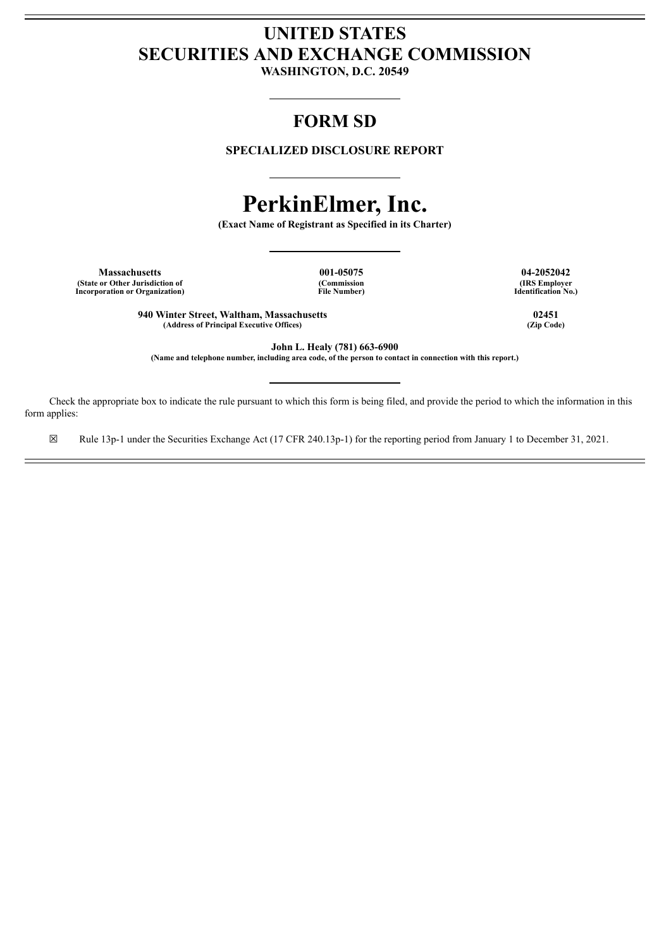# **UNITED STATES SECURITIES AND EXCHANGE COMMISSION**

**WASHINGTON, D.C. 20549**

# **FORM SD**

**SPECIALIZED DISCLOSURE REPORT**

# **PerkinElmer, Inc.**

**(Exact Name of Registrant as Specified in its Charter)**

**Massachusetts 001-05075 04-2052042 (State or Other Jurisdiction of Incorporation or Organization)**

**(Commission File Number)** **(IRS Employer Identification No.)**

**940 Winter Street, Waltham, Massachusetts 02451**  $(A$ ddress of **Principal Executive** Offices)

**John L. Healy (781) 663-6900** (Name and telephone number, including area code, of the person to contact in connection with this report.)

Check the appropriate box to indicate the rule pursuant to which this form is being filed, and provide the period to which the information in this form applies:

☒ Rule 13p-1 under the Securities Exchange Act (17 CFR 240.13p-1) for the reporting period from January 1 to December 31, 2021.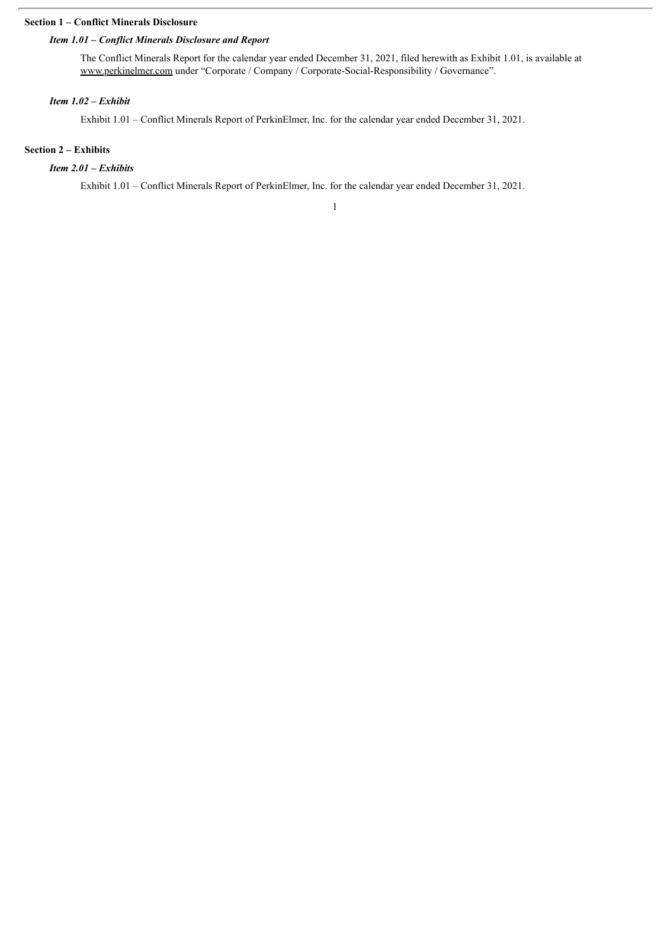#### **Section 1 – Conflict Minerals Disclosure**

### *Item 1.01 – Conflict Minerals Disclosure and Report*

The Conflict Minerals Report for the calendar year ended December 31, 2021, filed herewith as Exhibit 1.01, is available at www.perkinelmer.com under "Corporate / Company / Corporate-Social-Responsibility / Governance".

### *Item 1.02 – Exhibit*

Exhibit 1.01 – Conflict Minerals Report of PerkinElmer, Inc. for the calendar year ended December 31, 2021.

# **Section 2 – Exhibits**

## *Item 2.01 – Exhibits*

Exhibit 1.01 – Conflict Minerals Report of PerkinElmer, Inc. for the calendar year ended December 31, 2021.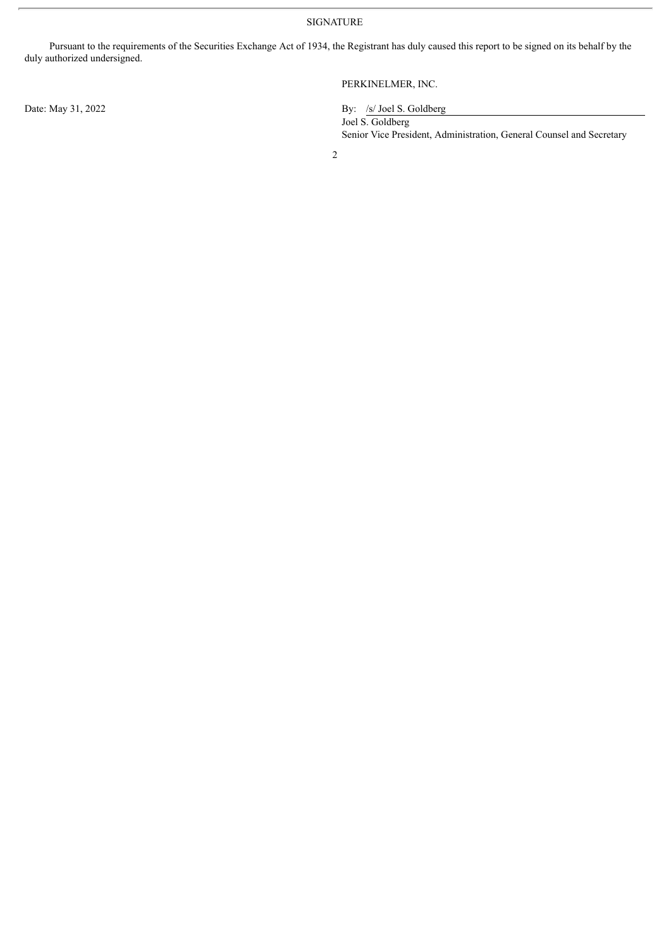SIGNATURE

Pursuant to the requirements of the Securities Exchange Act of 1934, the Registrant has duly caused this report to be signed on its behalf by the duly authorized undersigned.

PERKINELMER, INC.

Date: May 31, 2022 By: /s/ Joel S. Goldberg

Joel S. Goldberg Senior Vice President, Administration, General Counsel and Secretary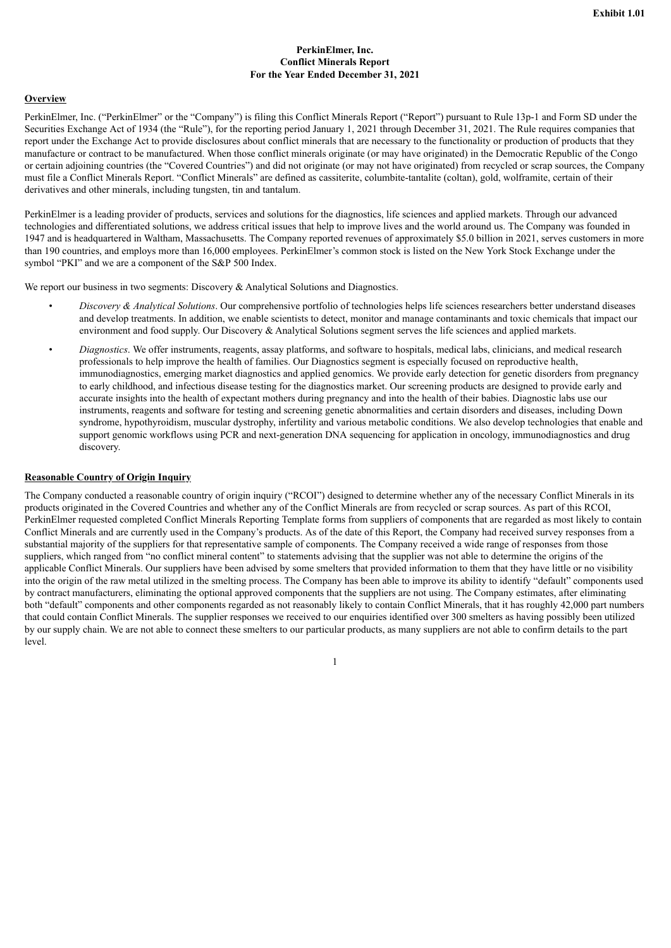#### **PerkinElmer, Inc. Conflict Minerals Report For the Year Ended December 31, 2021**

#### **Overview**

PerkinElmer, Inc. ("PerkinElmer" or the "Company") is filing this Conflict Minerals Report ("Report") pursuant to Rule 13p-1 and Form SD under the Securities Exchange Act of 1934 (the "Rule"), for the reporting period January 1, 2021 through December 31, 2021. The Rule requires companies that report under the Exchange Act to provide disclosures about conflict minerals that are necessary to the functionality or production of products that they manufacture or contract to be manufactured. When those conflict minerals originate (or may have originated) in the Democratic Republic of the Congo or certain adjoining countries (the "Covered Countries") and did not originate (or may not have originated) from recycled or scrap sources, the Company must file a Conflict Minerals Report. "Conflict Minerals" are defined as cassiterite, columbite-tantalite (coltan), gold, wolframite, certain of their derivatives and other minerals, including tungsten, tin and tantalum.

PerkinElmer is a leading provider of products, services and solutions for the diagnostics, life sciences and applied markets. Through our advanced technologies and differentiated solutions, we address critical issues that help to improve lives and the world around us. The Company was founded in 1947 and is headquartered in Waltham, Massachusetts. The Company reported revenues of approximately \$5.0 billion in 2021, serves customers in more than 190 countries, and employs more than 16,000 employees. PerkinElmer's common stock is listed on the New York Stock Exchange under the symbol "PKI" and we are a component of the S&P 500 Index.

We report our business in two segments: Discovery & Analytical Solutions and Diagnostics.

- *Discovery & Analytical Solutions*. Our comprehensive portfolio of technologies helps life sciences researchers better understand diseases and develop treatments. In addition, we enable scientists to detect, monitor and manage contaminants and toxic chemicals that impact our environment and food supply. Our Discovery & Analytical Solutions segment serves the life sciences and applied markets.
- *Diagnostics*. We offer instruments, reagents, assay platforms, and software to hospitals, medical labs, clinicians, and medical research professionals to help improve the health of families. Our Diagnostics segment is especially focused on reproductive health, immunodiagnostics, emerging market diagnostics and applied genomics. We provide early detection for genetic disorders from pregnancy to early childhood, and infectious disease testing for the diagnostics market. Our screening products are designed to provide early and accurate insights into the health of expectant mothers during pregnancy and into the health of their babies. Diagnostic labs use our instruments, reagents and software for testing and screening genetic abnormalities and certain disorders and diseases, including Down syndrome, hypothyroidism, muscular dystrophy, infertility and various metabolic conditions. We also develop technologies that enable and support genomic workflows using PCR and next-generation DNA sequencing for application in oncology, immunodiagnostics and drug discovery.

#### **Reasonable Country of Origin Inquiry**

The Company conducted a reasonable country of origin inquiry ("RCOI") designed to determine whether any of the necessary Conflict Minerals in its products originated in the Covered Countries and whether any of the Conflict Minerals are from recycled or scrap sources. As part of this RCOI, PerkinElmer requested completed Conflict Minerals Reporting Template forms from suppliers of components that are regarded as most likely to contain Conflict Minerals and are currently used in the Company's products. As of the date of this Report, the Company had received survey responses from a substantial majority of the suppliers for that representative sample of components. The Company received a wide range of responses from those suppliers, which ranged from "no conflict mineral content" to statements advising that the supplier was not able to determine the origins of the applicable Conflict Minerals. Our suppliers have been advised by some smelters that provided information to them that they have little or no visibility into the origin of the raw metal utilized in the smelting process. The Company has been able to improve its ability to identify "default" components used by contract manufacturers, eliminating the optional approved components that the suppliers are not using. The Company estimates, after eliminating both "default" components and other components regarded as not reasonably likely to contain Conflict Minerals, that it has roughly 42,000 part numbers that could contain Conflict Minerals. The supplier responses we received to our enquiries identified over 300 smelters as having possibly been utilized by our supply chain. We are not able to connect these smelters to our particular products, as many suppliers are not able to confirm details to the part level.

1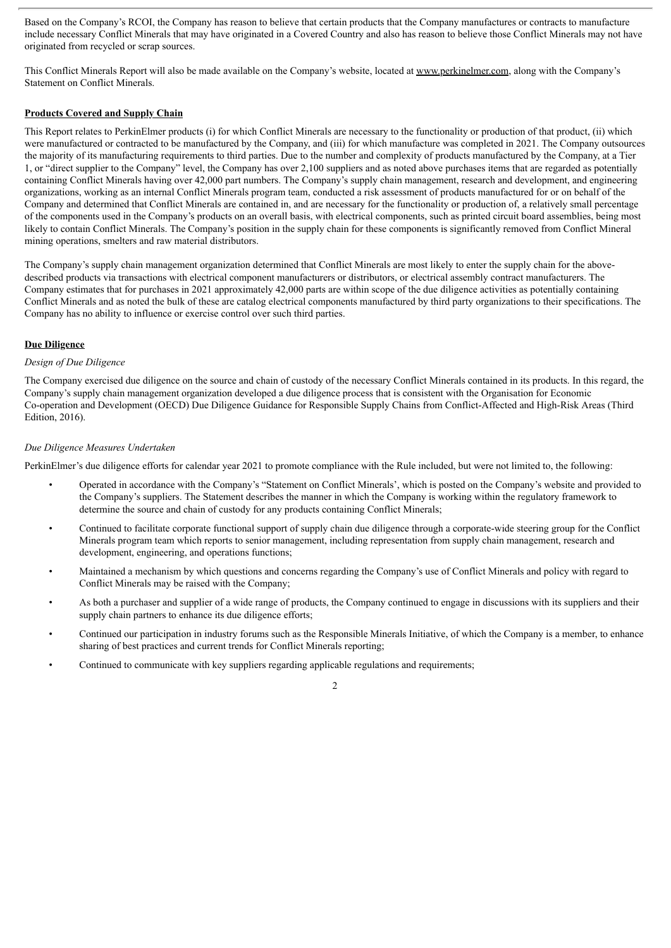Based on the Company's RCOI, the Company has reason to believe that certain products that the Company manufactures or contracts to manufacture include necessary Conflict Minerals that may have originated in a Covered Country and also has reason to believe those Conflict Minerals may not have originated from recycled or scrap sources.

This Conflict Minerals Report will also be made available on the Company's website, located at www.perkinelmer.com, along with the Company's Statement on Conflict Minerals.

#### **Products Covered and Supply Chain**

This Report relates to PerkinElmer products (i) for which Conflict Minerals are necessary to the functionality or production of that product, (ii) which were manufactured or contracted to be manufactured by the Company, and (iii) for which manufacture was completed in 2021. The Company outsources the majority of its manufacturing requirements to third parties. Due to the number and complexity of products manufactured by the Company, at a Tier 1, or "direct supplier to the Company" level, the Company has over 2,100 suppliers and as noted above purchases items that are regarded as potentially containing Conflict Minerals having over 42,000 part numbers. The Company's supply chain management, research and development, and engineering organizations, working as an internal Conflict Minerals program team, conducted a risk assessment of products manufactured for or on behalf of the Company and determined that Conflict Minerals are contained in, and are necessary for the functionality or production of, a relatively small percentage of the components used in the Company's products on an overall basis, with electrical components, such as printed circuit board assemblies, being most likely to contain Conflict Minerals. The Company's position in the supply chain for these components is significantly removed from Conflict Mineral mining operations, smelters and raw material distributors.

The Company's supply chain management organization determined that Conflict Minerals are most likely to enter the supply chain for the abovedescribed products via transactions with electrical component manufacturers or distributors, or electrical assembly contract manufacturers. The Company estimates that for purchases in 2021 approximately 42,000 parts are within scope of the due diligence activities as potentially containing Conflict Minerals and as noted the bulk of these are catalog electrical components manufactured by third party organizations to their specifications. The Company has no ability to influence or exercise control over such third parties.

#### **Due Diligence**

#### *Design of Due Diligence*

The Company exercised due diligence on the source and chain of custody of the necessary Conflict Minerals contained in its products. In this regard, the Company's supply chain management organization developed a due diligence process that is consistent with the Organisation for Economic Co-operation and Development (OECD) Due Diligence Guidance for Responsible Supply Chains from Conflict-Affected and High-Risk Areas (Third Edition, 2016).

#### *Due Diligence Measures Undertaken*

PerkinElmer's due diligence efforts for calendar year 2021 to promote compliance with the Rule included, but were not limited to, the following:

- Operated in accordance with the Company's "Statement on Conflict Minerals', which is posted on the Company's website and provided to the Company's suppliers. The Statement describes the manner in which the Company is working within the regulatory framework to determine the source and chain of custody for any products containing Conflict Minerals;
- Continued to facilitate corporate functional support of supply chain due diligence through a corporate-wide steering group for the Conflict Minerals program team which reports to senior management, including representation from supply chain management, research and development, engineering, and operations functions;
- Maintained a mechanism by which questions and concerns regarding the Company's use of Conflict Minerals and policy with regard to Conflict Minerals may be raised with the Company;
- As both a purchaser and supplier of a wide range of products, the Company continued to engage in discussions with its suppliers and their supply chain partners to enhance its due diligence efforts;
- Continued our participation in industry forums such as the Responsible Minerals Initiative, of which the Company is a member, to enhance sharing of best practices and current trends for Conflict Minerals reporting;
- Continued to communicate with key suppliers regarding applicable regulations and requirements;

#### 2